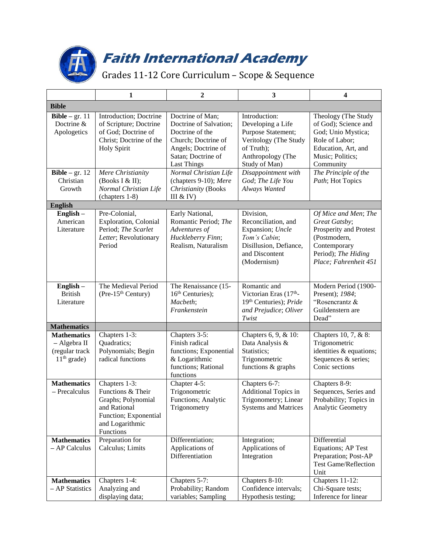

## **Faith International Academy**

Grades 11-12 Core Curriculum – Scope & Sequence

|                                                                       | 1                                                                                                                                 | $\overline{2}$                                                                                                                                          | $\mathbf{3}$                                                                                                                          | 4                                                                                                                                               |  |  |  |  |  |  |
|-----------------------------------------------------------------------|-----------------------------------------------------------------------------------------------------------------------------------|---------------------------------------------------------------------------------------------------------------------------------------------------------|---------------------------------------------------------------------------------------------------------------------------------------|-------------------------------------------------------------------------------------------------------------------------------------------------|--|--|--|--|--|--|
| <b>Bible</b>                                                          |                                                                                                                                   |                                                                                                                                                         |                                                                                                                                       |                                                                                                                                                 |  |  |  |  |  |  |
| Bible $-$ gr. 11<br>Doctrine &<br>Apologetics                         | Introduction; Doctrine<br>of Scripture; Doctrine<br>of God; Doctrine of<br>Christ; Doctrine of the<br><b>Holy Spirit</b>          | Doctrine of Man;<br>Doctrine of Salvation;<br>Doctrine of the<br>Church; Doctrine of<br>Angels; Doctrine of<br>Satan; Doctrine of<br><b>Last Things</b> | Introduction:<br>Developing a Life<br>Purpose Statement;<br>Veritology (The Study<br>of Truth);<br>Anthropology (The<br>Study of Man) | Theology (The Study<br>of God); Science and<br>God; Unio Mystica;<br>Role of Labor;<br>Education, Art, and<br>Music; Politics;<br>Community     |  |  |  |  |  |  |
| <b>Bible</b> – gr. $12$<br>Christian<br>Growth                        | Mere Christianity<br>(Books I & II);<br>Normal Christian Life<br>(chapters 1-8)                                                   | Normal Christian Life<br>(chapters 9-10); Mere<br>Christianity (Books<br>III & IV)                                                                      | Disappointment with<br>God; The Life You<br>Always Wanted                                                                             | The Principle of the<br>Path; Hot Topics                                                                                                        |  |  |  |  |  |  |
| <b>English</b>                                                        |                                                                                                                                   |                                                                                                                                                         |                                                                                                                                       |                                                                                                                                                 |  |  |  |  |  |  |
| $English -$<br>American<br>Literature                                 | Pre-Colonial,<br><b>Exploration</b> , Colonial<br>Period; The Scarlet<br>Letter; Revolutionary<br>Period                          | Early National,<br>Romantic Period; The<br>Adventures of<br>Huckleberry Finn;<br>Realism, Naturalism                                                    | Division,<br>Reconciliation, and<br>Expansion; Uncle<br>Tom's Cabin;<br>Disillusion, Defiance,<br>and Discontent<br>(Modernism)       | Of Mice and Men; The<br>Great Gatsby;<br>Prosperity and Protest<br>(Postmodern,<br>Contemporary<br>Period); The Hiding<br>Place; Fahrenheit 451 |  |  |  |  |  |  |
| English-<br><b>British</b><br>Literature                              | The Medieval Period<br>(Pre-15 <sup>th</sup> Century)                                                                             | The Renaissance (15-<br>16 <sup>th</sup> Centuries);<br>Macbeth;<br>Frankenstein                                                                        | Romantic and<br>Victorian Eras (17th-<br>19 <sup>th</sup> Centuries); <i>Pride</i><br>and Prejudice; Oliver<br>Twist                  | Modern Period (1900-<br>Present); 1984;<br>"Rosencrantz &<br>Guildenstern are<br>Dead"                                                          |  |  |  |  |  |  |
| <b>Mathematics</b>                                                    |                                                                                                                                   |                                                                                                                                                         |                                                                                                                                       |                                                                                                                                                 |  |  |  |  |  |  |
| <b>Mathematics</b><br>- Algebra II<br>(regular track<br>$11th$ grade) | Chapters 1-3:<br>Quadratics;<br>Polynomials; Begin<br>radical functions                                                           | Chapters $3-5$ :<br>Finish radical<br>functions; Exponential<br>& Logarithmic<br>functions; Rational<br>functions                                       | Chapters 6, 9, & 10:<br>Data Analysis &<br>Statistics;<br>Trigonometric<br>functions & graphs                                         | Chapters 10, 7, & 8:<br>Trigonometric<br>identities & equations;<br>Sequences & series;<br>Conic sections                                       |  |  |  |  |  |  |
| <b>Mathematics</b><br>- Precalculus                                   | Chapters 1-3:<br>Functions & Their<br>Graphs; Polynomial<br>and Rational<br>Function; Exponential<br>and Logarithmic<br>Functions | Chapter 4-5:<br>Trigonometric<br>Functions; Analytic<br>Trigonometry                                                                                    | Chapters 6-7:<br>Additional Topics in<br>Trigonometry; Linear<br><b>Systems and Matrices</b>                                          | Chapters 8-9:<br>Sequences, Series and<br>Probability; Topics in<br>Analytic Geometry                                                           |  |  |  |  |  |  |
| <b>Mathematics</b><br>- AP Calculus                                   | Preparation for<br>Calculus; Limits                                                                                               | Differentiation;<br>Applications of<br>Differentiation                                                                                                  | Integration;<br>Applications of<br>Integration                                                                                        | Differential<br><b>Equations; AP Test</b><br>Preparation; Post-AP<br><b>Test Game/Reflection</b><br>Unit                                        |  |  |  |  |  |  |
| <b>Mathematics</b><br>- AP Statistics                                 | Chapters 1-4:<br>Analyzing and<br>displaying data;                                                                                | Chapters 5-7:<br>Probability; Random<br>variables; Sampling                                                                                             | Chapters 8-10:<br>Confidence intervals;<br>Hypothesis testing;                                                                        | Chapters 11-12:<br>Chi-Square tests;<br>Inference for linear                                                                                    |  |  |  |  |  |  |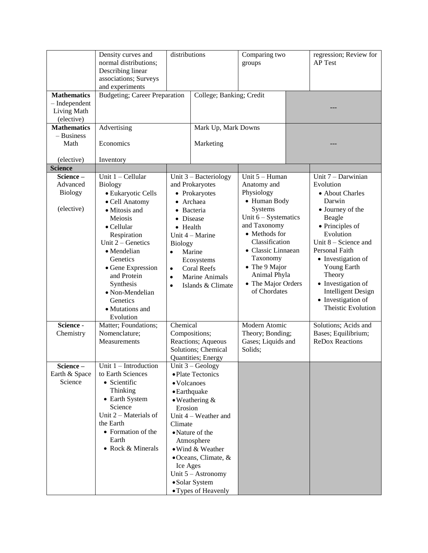|                    | Density curves and<br>normal distributions;<br>Describing linear<br>associations; Surveys<br>and experiments | distributions                                                                       |                              | Comparing two<br>groups                |  | regression; Review for<br>AP Test |
|--------------------|--------------------------------------------------------------------------------------------------------------|-------------------------------------------------------------------------------------|------------------------------|----------------------------------------|--|-----------------------------------|
| <b>Mathematics</b> | <b>Budgeting</b> ; Career Preparation                                                                        |                                                                                     | College; Banking; Credit     |                                        |  |                                   |
| $-$ Independent    |                                                                                                              |                                                                                     |                              |                                        |  |                                   |
| Living Math        |                                                                                                              |                                                                                     |                              |                                        |  |                                   |
| (elective)         |                                                                                                              |                                                                                     |                              |                                        |  |                                   |
| <b>Mathematics</b> | Advertising                                                                                                  |                                                                                     | Mark Up, Mark Downs          |                                        |  |                                   |
| $-$ Business       |                                                                                                              |                                                                                     |                              |                                        |  |                                   |
| Math               | Economics                                                                                                    |                                                                                     | Marketing                    |                                        |  |                                   |
| (elective)         | Inventory                                                                                                    |                                                                                     |                              |                                        |  |                                   |
| <b>Science</b>     |                                                                                                              |                                                                                     |                              |                                        |  |                                   |
| Science-           | Unit 1 - Cellular                                                                                            | Unit $3 -$ Bacteriology                                                             |                              | Unit 5 - Human                         |  | Unit 7 - Darwinian                |
| Advanced           | <b>Biology</b>                                                                                               |                                                                                     | and Prokaryotes              | Anatomy and                            |  | Evolution                         |
| <b>Biology</b>     | · Eukaryotic Cells                                                                                           |                                                                                     | • Prokaryotes                | Physiology                             |  | • About Charles                   |
| (elective)         | • Cell Anatomy                                                                                               | • Archaea                                                                           |                              | • Human Body                           |  | Darwin                            |
|                    | • Mitosis and                                                                                                |                                                                                     | • Bacteria                   | Systems                                |  | • Journey of the                  |
|                    | Meiosis                                                                                                      | • Disease                                                                           |                              | Unit $6 - Systematics$<br>and Taxonomy |  | Beagle                            |
|                    | • Cellular                                                                                                   | • Health                                                                            |                              | • Methods for                          |  | • Principles of<br>Evolution      |
|                    | Respiration<br>Unit $2 -$ Genetics                                                                           | Unit 4 - Marine<br><b>Biology</b><br>Marine                                         |                              | Classification<br>· Classic Linnaean   |  | Unit $8 -$ Science and            |
|                    | • Mendelian                                                                                                  |                                                                                     |                              |                                        |  | Personal Faith                    |
|                    | Genetics                                                                                                     | $\bullet$                                                                           | Ecosystems                   | Taxonomy                               |  | • Investigation of                |
|                    | • Gene Expression                                                                                            |                                                                                     |                              | • The 9 Major                          |  | Young Earth                       |
|                    | and Protein                                                                                                  | <b>Coral Reefs</b><br>$\bullet$<br>Marine Animals<br>$\bullet$<br>Islands & Climate |                              | Animal Phyla                           |  | Theory                            |
|                    | Synthesis                                                                                                    |                                                                                     |                              | • The Major Orders                     |  | • Investigation of                |
|                    | • Non-Mendelian                                                                                              | $\bullet$                                                                           |                              | of Chordates                           |  | <b>Intelligent Design</b>         |
|                    | Genetics                                                                                                     |                                                                                     |                              |                                        |  | • Investigation of                |
|                    | · Mutations and                                                                                              |                                                                                     |                              |                                        |  | <b>Theistic Evolution</b>         |
|                    | Evolution                                                                                                    |                                                                                     |                              |                                        |  |                                   |
| Science -          | Matter; Foundations;                                                                                         | Chemical                                                                            |                              | Modern Atomic                          |  | Solutions; Acids and              |
| Chemistry          | Nomenclature;                                                                                                |                                                                                     | Compositions;                | Theory; Bonding;                       |  | Bases; Equilibrium;               |
|                    | Measurements                                                                                                 |                                                                                     | Reactions; Aqueous           | Gases; Liquids and                     |  | <b>ReDox Reactions</b>            |
|                    |                                                                                                              |                                                                                     | Solutions; Chemical          | Solids;                                |  |                                   |
|                    |                                                                                                              |                                                                                     | Quantities; Energy           |                                        |  |                                   |
| Science-           | Unit $1$ – Introduction                                                                                      | Unit $3 - Geology$                                                                  |                              |                                        |  |                                   |
| Earth & Space      | to Earth Sciences                                                                                            | · Plate Tectonics                                                                   |                              |                                        |  |                                   |
|                    | Science<br>• Scientific                                                                                      |                                                                                     | • Volcanoes                  |                                        |  |                                   |
|                    | Thinking                                                                                                     | $\bullet$ Earthquake                                                                |                              |                                        |  |                                   |
|                    | • Earth System<br>Science                                                                                    |                                                                                     | $\bullet$ Weathering &       |                                        |  |                                   |
|                    | Unit $2$ – Materials of                                                                                      | Erosion                                                                             |                              |                                        |  |                                   |
|                    | the Earth                                                                                                    |                                                                                     | Unit 4 – Weather and         |                                        |  |                                   |
|                    | • Formation of the                                                                                           | Climate                                                                             | • Nature of the              |                                        |  |                                   |
|                    | Earth                                                                                                        |                                                                                     | Atmosphere                   |                                        |  |                                   |
|                    | • Rock & Minerals                                                                                            |                                                                                     | • Wind & Weather             |                                        |  |                                   |
|                    |                                                                                                              |                                                                                     | $\bullet$ Oceans, Climate, & |                                        |  |                                   |
|                    |                                                                                                              | Ice Ages                                                                            |                              |                                        |  |                                   |
|                    |                                                                                                              |                                                                                     | Unit 5 - Astronomy           |                                        |  |                                   |
|                    |                                                                                                              |                                                                                     | • Solar System               |                                        |  |                                   |
|                    |                                                                                                              |                                                                                     | • Types of Heavenly          |                                        |  |                                   |